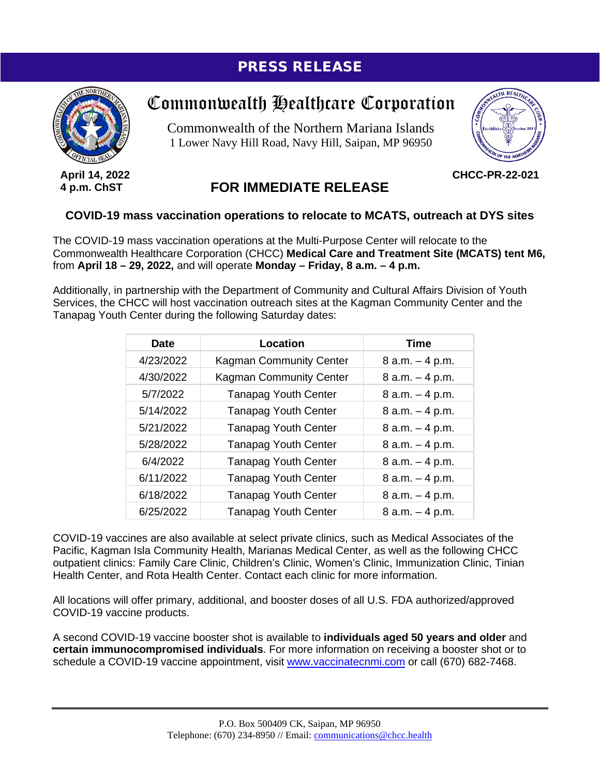## PRESS RELEASE



**April 14, 2022 4 p.m. ChST**

## Commonwealth Healthcare Corporation

Commonwealth of the Northern Mariana Islands 1 Lower Navy Hill Road, Navy Hill, Saipan, MP 96950



**CHCC-PR-22-021**

## **FOR IMMEDIATE RELEASE**

## **COVID-19 mass vaccination operations to relocate to MCATS, outreach at DYS sites**

The COVID-19 mass vaccination operations at the Multi-Purpose Center will relocate to the Commonwealth Healthcare Corporation (CHCC) **Medical Care and Treatment Site (MCATS) tent M6,** from **April 18 – 29, 2022,** and will operate **Monday – Friday, 8 a.m. – 4 p.m.**

Additionally, in partnership with the Department of Community and Cultural Affairs Division of Youth Services, the CHCC will host vaccination outreach sites at the Kagman Community Center and the Tanapag Youth Center during the following Saturday dates:

| <b>Date</b> | Location                       | <b>Time</b>        |
|-------------|--------------------------------|--------------------|
| 4/23/2022   | <b>Kagman Community Center</b> | $8$ a.m. $-4$ p.m. |
| 4/30/2022   | <b>Kagman Community Center</b> | $8 a.m. - 4 p.m.$  |
| 5/7/2022    | <b>Tanapag Youth Center</b>    | $8 a.m. - 4 p.m.$  |
| 5/14/2022   | <b>Tanapag Youth Center</b>    | $8 a.m. - 4 p.m.$  |
| 5/21/2022   | <b>Tanapag Youth Center</b>    | $8 a.m. - 4 p.m.$  |
| 5/28/2022   | <b>Tanapag Youth Center</b>    | $8 a.m. - 4 p.m.$  |
| 6/4/2022    | <b>Tanapag Youth Center</b>    | $8 a.m. - 4 p.m.$  |
| 6/11/2022   | <b>Tanapag Youth Center</b>    | $8 a.m. - 4 p.m.$  |
| 6/18/2022   | <b>Tanapag Youth Center</b>    | $8 a.m. - 4 p.m.$  |
| 6/25/2022   | <b>Tanapag Youth Center</b>    | $8 a.m. - 4 p.m.$  |

COVID-19 vaccines are also available at select private clinics, such as Medical Associates of the Pacific, Kagman Isla Community Health, Marianas Medical Center, as well as the following CHCC outpatient clinics: Family Care Clinic, Children's Clinic, Women's Clinic, Immunization Clinic, Tinian Health Center, and Rota Health Center. Contact each clinic for more information.

All locations will offer primary, additional, and booster doses of all U.S. FDA authorized/approved COVID-19 vaccine products.

A second COVID-19 vaccine booster shot is available to **individuals aged 50 years and older** and **certain immunocompromised individuals**. For more information on receiving a booster shot or to schedule a COVID-19 vaccine appointment, visit [www.vaccinatecnmi.com](http://www.vaccinatecnmi.com/) or call (670) 682-7468.